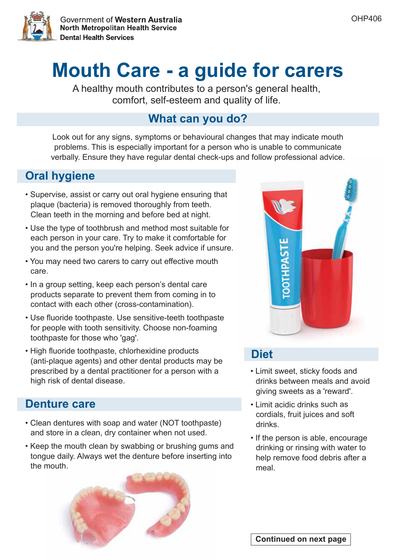

A healthy mouth contributes to a person's general health, comfort, self-esteem and quality of life.

### **What can you do?**

Look out for any signs, symptoms or behavioural changes that may indicate mouth problems. This is especially important for a person who is unable to communicate verbally. Ensure they have regular dental check-ups and follow professional advice.

## **Oral hygiene**

- Supervise, assist or carry out oral hygiene ensuring that plaque (bacteria) is removed thoroughly from teeth. Clean teeth in the morning and before bed at night.
- Use the type of toothbrush and method most suitable for each person in your care. Try to make it comfortable for you and the person you're helping. Seek advice if unsure.
- You may need two carers to carry out effective mouth care.
- In a group setting, keep each person's dental care products separate to prevent them from coming in to contact with each other (cross-contamination).
- Use fluoride toothpaste. Use sensitive-teeth toothpaste for people with tooth sensitivity. Choose non-foaming toothpaste for those who 'gag'.
- High fluoride toothpaste, chlorhexidine products (anti-plaque agents) and other dental products may be prescribed by a dental practitioner for a person with a high risk of dental disease.

### **Denture care**

- Clean dentures with soap and water (NOT toothpaste) and store in a clean, dry container when not used.
- Keep the mouth clean by swabbing or brushing gums and tongue daily. Always wet the denture before inserting into the mouth.





### **Diet**

- Limit sweet, sticky foods and drinks between meals and avoid giving sweets as a 'reward'.
- Limit acidic drinks such as cordials, fruit juices and soft drinks.
- If the person is able, encourage drinking or rinsing with water to help remove food debris after a meal.

OHP406

**Continued on next page**